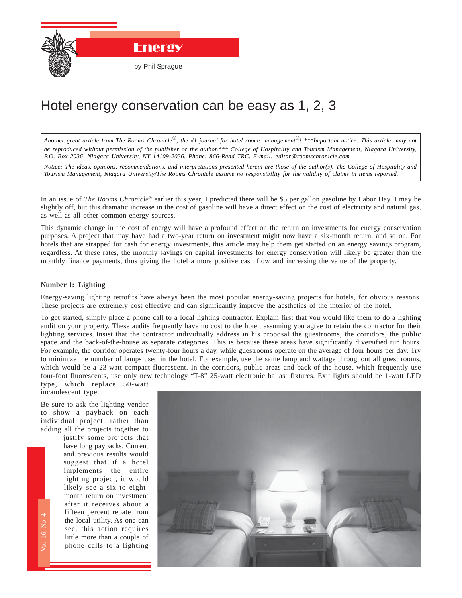

## Hotel energy conservation can be easy as 1, 2, 3

*Another great article from The Rooms Chronicle*®*, the #1 journal for hotel rooms management*®*! \*\*\*Important notice: This article may not be reproduced without permission of the publisher or the author.\*\*\* College of Hospitality and Tourism Management, Niagara University, P.O. Box 2036, Niagara University, NY 14109-2036. Phone: 866-Read TRC. E-mail: editor@roomschronicle.com*

*Notice: The ideas, opinions, recommendations, and interpretations presented herein are those of the author(s). The College of Hospitality and Tourism Management, Niagara University/The Rooms Chronicle assume no responsibility for the validity of claims in items reported.*

In an issue of *The Rooms Chronicle*® earlier this year, I predicted there will be \$5 per gallon gasoline by Labor Day. I may be slightly off, but this dramatic increase in the cost of gasoline will have a direct effect on the cost of electricity and natural gas, as well as all other common energy sources.

This dynamic change in the cost of energy will have a profound effect on the return on investments for energy conservation purposes. A project that may have had a two-year return on investment might now have a six-month return, and so on. For hotels that are strapped for cash for energy investments, this article may help them get started on an energy savings program, regardless. At these rates, the monthly savings on capital investments for energy conservation will likely be greater than the monthly finance payments, thus giving the hotel a more positive cash flow and increasing the value of the property.

## **Number 1: Lighting**

Energy-saving lighting retrofits have always been the most popular energy-saving projects for hotels, for obvious reasons. These projects are extremely cost effective and can significantly improve the aesthetics of the interior of the hotel.

To get started, simply place a phone call to a local lighting contractor. Explain first that you would like them to do a lighting audit on your property. These audits frequently have no cost to the hotel, assuming you agree to retain the contractor for their lighting services. Insist that the contractor individually address in his proposal the guestrooms, the corridors, the public space and the back-of-the-house as separate categories. This is because these areas have significantly diversified run hours. For example, the corridor operates twenty-four hours a day, while guestrooms operate on the average of four hours per day. Try to minimize the number of lamps used in the hotel. For example, use the same lamp and wattage throughout all guest rooms, which would be a 23-watt compact fluorescent. In the corridors, public areas and back-of-the-house, which frequently use four-foot fluorescents, use only new technology "T-8" 25-watt electronic ballast fixtures. Exit lights should be 1-watt LED type, which replace 50-watt

incandescent type.

Be sure to ask the lighting vendor to show a payback on each individual project, rather than adding all the projects together to

> The Rooms Controller<br>The Rooms Chronicle<br>The Rooms Chronicler<br>The Rooms Chronicler justify some projects that have long paybacks. Current and previous results would suggest that if a hotel implements the entire lighting project, it would likely see a six to eightmonth return on investment after it receives about a fifteen percent rebate from the local utility. As one can see, this action requires little more than a couple of phone calls to a lighting

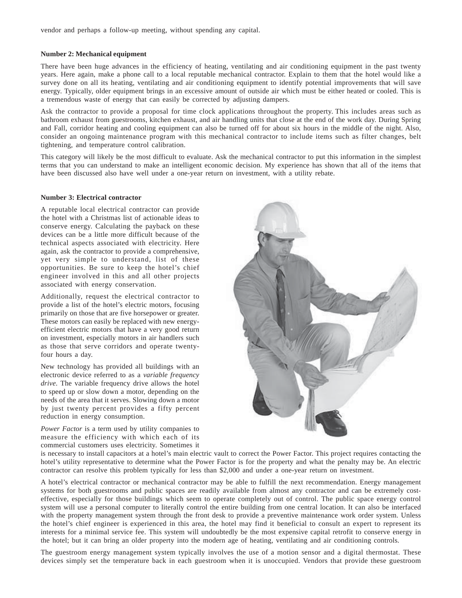vendor and perhaps a follow-up meeting, without spending any capital.

## **Number 2: Mechanical equipment**

There have been huge advances in the efficiency of heating, ventilating and air conditioning equipment in the past twenty years. Here again, make a phone call to a local reputable mechanical contractor. Explain to them that the hotel would like a survey done on all its heating, ventilating and air conditioning equipment to identify potential improvements that will save energy. Typically, older equipment brings in an excessive amount of outside air which must be either heated or cooled. This is a tremendous waste of energy that can easily be corrected by adjusting dampers.

Ask the contractor to provide a proposal for time clock applications throughout the property. This includes areas such as bathroom exhaust from guestrooms, kitchen exhaust, and air handling units that close at the end of the work day. During Spring and Fall, corridor heating and cooling equipment can also be turned off for about six hours in the middle of the night. Also, consider an ongoing maintenance program with this mechanical contractor to include items such as filter changes, belt tightening, and temperature control calibration.

This category will likely be the most difficult to evaluate. Ask the mechanical contractor to put this information in the simplest terms that you can understand to make an intelligent economic decision. My experience has shown that all of the items that have been discussed also have well under a one-year return on investment, with a utility rebate.

## **Number 3: Electrical contractor**

A reputable local electrical contractor can provide the hotel with a Christmas list of actionable ideas to conserve energy. Calculating the payback on these devices can be a little more difficult because of the technical aspects associated with electricity. Here again, ask the contractor to provide a comprehensive, yet very simple to understand, list of these opportunities. Be sure to keep the hotel's chief engineer involved in this and all other projects associated with energy conservation.

Additionally, request the electrical contractor to provide a list of the hotel's electric motors, focusing primarily on those that are five horsepower or greater. These motors can easily be replaced with new energyefficient electric motors that have a very good return on investment, especially motors in air handlers such as those that serve corridors and operate twentyfour hours a day.

New technology has provided all buildings with an electronic device referred to as a *variable frequency drive*. The variable frequency drive allows the hotel to speed up or slow down a motor, depending on the needs of the area that it serves. Slowing down a motor by just twenty percent provides a fifty percent reduction in energy consumption.

*Power Factor* is a term used by utility companies to measure the efficiency with which each of its commercial customers uses electricity. Sometimes it



is necessary to install capacitors at a hotel's main electric vault to correct the Power Factor. This project requires contacting the hotel's utility representative to determine what the Power Factor is for the property and what the penalty may be. An electric contractor can resolve this problem typically for less than \$2,000 and under a one-year return on investment.

A hotel's electrical contractor or mechanical contractor may be able to fulfill the next recommendation. Energy management systems for both guestrooms and public spaces are readily available from almost any contractor and can be extremely costeffective, especially for those buildings which seem to operate completely out of control. The public space energy control system will use a personal computer to literally control the entire building from one central location. It can also be interfaced with the property management system through the front desk to provide a preventive maintenance work order system. Unless the hotel's chief engineer is experienced in this area, the hotel may find it beneficial to consult an expert to represent its interests for a minimal service fee. This system will undoubtedly be the most expensive capital retrofit to conserve energy in the hotel; but it can bring an older property into the modern age of heating, ventilating and air conditioning controls.

The guestroom energy management system typically involves the use of a motion sensor and a digital thermostat. These devices simply set the temperature back in each guestroom when it is unoccupied. Vendors that provide these guestroom